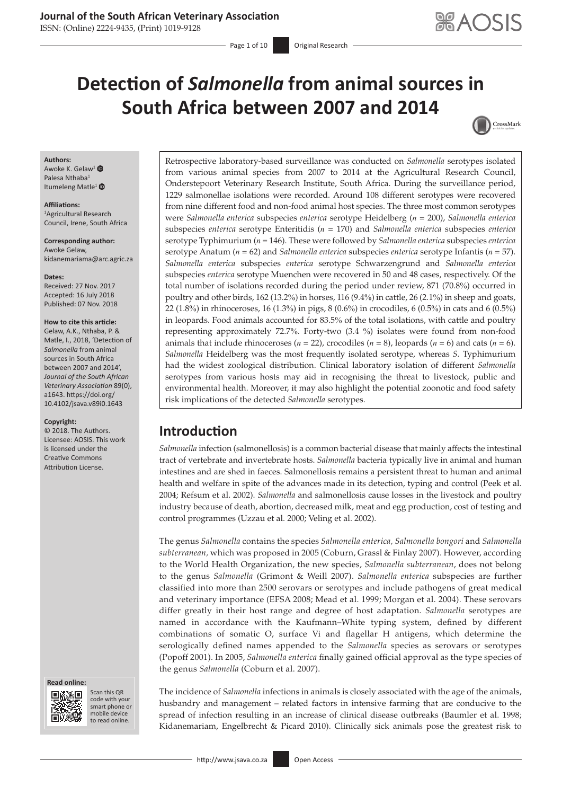### **Journal of the South African Veterinary Association**

ISSN: (Online) 2224-9435, (Print) 1019-9128

# **Detection of** *Salmonella* **from animal sources in South Africa between 2007 and 2014**



#### **Authors:**

Awoke K. Gelaw<sup>[1](https://orcid.org/0000-0001-6368-5279)</sup> Palesa Nthaba<sup>1</sup> Itumeleng Matle<sup>[1](https://orcid.org/0000-0002-1495-357X)</sup>

#### **Affiliations:**

1 Agricultural Research Council, Irene, South Africa

**Corresponding author:** Awoke Gelaw, [kidanemariama@arc.agric.za](mailto:kidanemariama@arc.agric.za)

**Dates:** Received: 27 Nov. 2017 Accepted: 16 July 2018 Published: 07 Nov. 2018

#### **How to cite this article:**

Gelaw, A.K., Nthaba, P. & Matle, I., 2018, 'Detection of *Salmonella* from animal sources in South Africa between 2007 and 2014', *Journal of the South African Veterinary Association* 89(0), a1643. [https://doi.org/](https://doi.org/10.4102/jsava.v89i0.1643) [10.4102/jsava.v89i0.1643](https://doi.org/10.4102/jsava.v89i0.1643)

#### **Copyright:**

© 2018. The Authors. Licensee: AOSIS. This work is licensed under the Creative Commons Attribution License.

#### **Read online: Read**



Scan this QR code with your Scan this QR<br>code with your<br>smart phone or<br>mobile device mobile device to read online. to read online.

Retrospective laboratory-based surveillance was conducted on *Salmonella* serotypes isolated from various animal species from 2007 to 2014 at the Agricultural Research Council, Onderstepoort Veterinary Research Institute, South Africa. During the surveillance period, 1229 salmonellae isolations were recorded. Around 108 different serotypes were recovered from nine different food and non-food animal host species. The three most common serotypes were *Salmonella enterica* subspecies *enterica* serotype Heidelberg (*n* = 200), *Salmonella enterica* subspecies *enterica* serotype Enteritidis (*n* = 170) and *Salmonella enterica* subspecies *enterica* serotype Typhimurium (*n* = 146). These were followed by *Salmonella enterica* subspecies *enterica* serotype Anatum (*n* = 62) and *Salmonella enterica* subspecies *enterica* serotype Infantis (*n* = 57). *Salmonella enterica* subspecies *enterica* serotype Schwarzengrund and *Salmonella enterica* subspecies *enterica* serotype Muenchen were recovered in 50 and 48 cases, respectively. Of the total number of isolations recorded during the period under review, 871 (70.8%) occurred in poultry and other birds, 162 (13.2%) in horses, 116 (9.4%) in cattle, 26 (2.1%) in sheep and goats, 22 (1.8%) in rhinoceroses, 16 (1.3%) in pigs, 8 (0.6%) in crocodiles, 6 (0.5%) in cats and 6 (0.5%) in leopards. Food animals accounted for 83.5% of the total isolations, with cattle and poultry representing approximately 72.7%. Forty-two (3.4 %) isolates were found from non-food animals that include rhinoceroses ( $n = 22$ ), crocodiles ( $n = 8$ ), leopards ( $n = 6$ ) and cats ( $n = 6$ ). *Salmonella* Heidelberg was the most frequently isolated serotype, whereas *S.* Typhimurium had the widest zoological distribution. Clinical laboratory isolation of different *Salmonella* serotypes from various hosts may aid in recognising the threat to livestock, public and environmental health. Moreover, it may also highlight the potential zoonotic and food safety risk implications of the detected *Salmonella* serotypes.

## **Introduction**

*Salmonella* infection (salmonellosis) is a common bacterial disease that mainly affects the intestinal tract of vertebrate and invertebrate hosts. *Salmonella* bacteria typically live in animal and human intestines and are shed in faeces. Salmonellosis remains a persistent threat to human and animal health and welfare in spite of the advances made in its detection, typing and control (Peek et al. 2004; Refsum et al. 2002). *Salmonella* and salmonellosis cause losses in the livestock and poultry industry because of death, abortion, decreased milk, meat and egg production, cost of testing and control programmes (Uzzau et al. 2000; Veling et al. 2002).

The genus *Salmonella* contains the species *Salmonella enterica, Salmonella bongori* and *Salmonella*  subterranean, which was proposed in 2005 (Coburn, Grassl & Finlay 2007). However, according to the World Health Organization, the new species, *Salmonella subterranean*, does not belong to the genus *Salmonella* (Grimont & Weill 2007). *Salmonella enterica* subspecies are further classified into more than 2500 serovars or serotypes and include pathogens of great medical and veterinary importance (EFSA 2008; Mead et al. 1999; Morgan et al. 2004). These serovars differ greatly in their host range and degree of host adaptation. *Salmonella* serotypes are named in accordance with the Kaufmann–White typing system, defined by different combinations of somatic O, surface Vi and flagellar H antigens, which determine the serologically defined names appended to the *Salmonella* species as serovars or serotypes (Popoff 2001). In 2005, *Salmonella enterica* finally gained official approval as the type species of the genus *Salmonella* (Coburn et al. 2007).

The incidence of *Salmonella* infections in animals is closely associated with the age of the animals, husbandry and management – related factors in intensive farming that are conducive to the spread of infection resulting in an increase of clinical disease outbreaks (Baumler et al. 1998; Kidanemariam, Engelbrecht & Picard 2010). Clinically sick animals pose the greatest risk to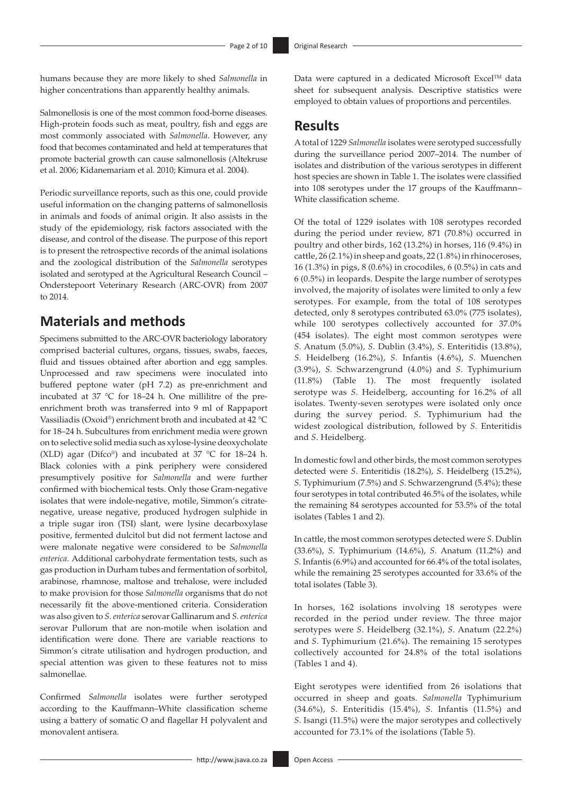humans because they are more likely to shed *Salmonella* in higher concentrations than apparently healthy animals.

Salmonellosis is one of the most common food-borne diseases. High-protein foods such as meat, poultry, fish and eggs are most commonly associated with *Salmonella*. However, any food that becomes contaminated and held at temperatures that promote bacterial growth can cause salmonellosis (Altekruse et al. 2006; Kidanemariam et al*.* 2010; Kimura et al. 2004).

Periodic surveillance reports, such as this one, could provide useful information on the changing patterns of salmonellosis in animals and foods of animal origin. It also assists in the study of the epidemiology, risk factors associated with the disease, and control of the disease. The purpose of this report is to present the retrospective records of the animal isolations and the zoological distribution of the *Salmonella* serotypes isolated and serotyped at the Agricultural Research Council – Onderstepoort Veterinary Research (ARC-OVR) from 2007 to 2014.

### **Materials and methods**

Specimens submitted to the ARC-OVR bacteriology laboratory comprised bacterial cultures, organs, tissues, swabs, faeces, fluid and tissues obtained after abortion and egg samples. Unprocessed and raw specimens were inoculated into buffered peptone water (pH 7.2) as pre-enrichment and incubated at 37 °C for 18–24 h. One millilitre of the preenrichment broth was transferred into 9 ml of Rappaport Vassiliadis (Oxoid®) enrichment broth and incubated at 42 °C for 18–24 h. Subcultures from enrichment media were grown on to selective solid media such as xylose-lysine deoxycholate (XLD) agar (Difco®) and incubated at 37 °C for 18–24 h. Black colonies with a pink periphery were considered presumptively positive for *Salmonella* and were further confirmed with biochemical tests. Only those Gram-negative isolates that were indole-negative, motile, Simmon's citratenegative, urease negative, produced hydrogen sulphide in a triple sugar iron (TSI) slant, were lysine decarboxylase positive, fermented dulcitol but did not ferment lactose and were malonate negative were considered to be *Salmonella enterica.* Additional carbohydrate fermentation tests, such as gas production in Durham tubes and fermentation of sorbitol, arabinose, rhamnose, maltose and trehalose, were included to make provision for those *Salmonella* organisms that do not necessarily fit the above-mentioned criteria. Consideration was also given to *S. enterica* serovar Gallinarum and *S. enterica* serovar Pullorum that are non-motile when isolation and identification were done. There are variable reactions to Simmon's citrate utilisation and hydrogen production, and special attention was given to these features not to miss salmonellae.

Confirmed *Salmonella* isolates were further serotyped according to the Kauffmann–White classification scheme using a battery of somatic O and flagellar H polyvalent and monovalent antisera.

Data were captured in a dedicated Microsoft Excel™ data sheet for subsequent analysis. Descriptive statistics were employed to obtain values of proportions and percentiles.

## **Results**

A total of 1229 *Salmonella* isolates were serotyped successfully during the surveillance period 2007–2014. The number of isolates and distribution of the various serotypes in different host species are shown in Table 1. The isolates were classified into 108 serotypes under the 17 groups of the Kauffmann– White classification scheme.

Of the total of 1229 isolates with 108 serotypes recorded during the period under review, 871 (70.8%) occurred in poultry and other birds, 162 (13.2%) in horses, 116 (9.4%) in cattle, 26 (2.1%) in sheep and goats, 22 (1.8%) in rhinoceroses, 16 (1.3%) in pigs, 8 (0.6%) in crocodiles, 6 (0.5%) in cats and 6 (0.5%) in leopards. Despite the large number of serotypes involved, the majority of isolates were limited to only a few serotypes. For example, from the total of 108 serotypes detected, only 8 serotypes contributed 63.0% (775 isolates), while 100 serotypes collectively accounted for 37.0% (454 isolates). The eight most common serotypes were *S*. Anatum (5.0%), *S*. Dublin (3.4%), *S*. Enteritidis (13.8%), *S*. Heidelberg (16.2%), *S*. Infantis (4.6%), *S*. Muenchen (3.9%), *S*. Schwarzengrund (4.0%) and *S*. Typhimurium (11.8%) (Table 1). The most frequently isolated serotype was *S*. Heidelberg, accounting for 16.2% of all isolates. Twenty-seven serotypes were isolated only once during the survey period. *S*. Typhimurium had the widest zoological distribution, followed by *S.* Enteritidis and *S*. Heidelberg.

In domestic fowl and other birds, the most common serotypes detected were *S*. Enteritidis (18.2%), *S*. Heidelberg (15.2%), *S*. Typhimurium (7.5%) and *S*. Schwarzengrund (5.4%); these four serotypes in total contributed 46.5% of the isolates, while the remaining 84 serotypes accounted for 53.5% of the total isolates (Tables 1 and 2).

In cattle, the most common serotypes detected were *S*. Dublin (33.6%), *S*. Typhimurium (14.6%), *S*. Anatum (11.2%) and *S*. Infantis (6.9%) and accounted for 66.4% of the total isolates, while the remaining 25 serotypes accounted for 33.6% of the total isolates (Table 3).

In horses, 162 isolations involving 18 serotypes were recorded in the period under review. The three major serotypes were *S*. Heidelberg (32.1%), *S*. Anatum (22.2%) and *S*. Typhimurium (21.6%). The remaining 15 serotypes collectively accounted for 24.8% of the total isolations (Tables 1 and 4).

Eight serotypes were identified from 26 isolations that occurred in sheep and goats. *Salmonella* Typhimurium (34.6%), *S*. Enteritidis (15.4%), *S*. Infantis (11.5%) and *S*. Isangi (11.5%) were the major serotypes and collectively accounted for 73.1% of the isolations (Table 5).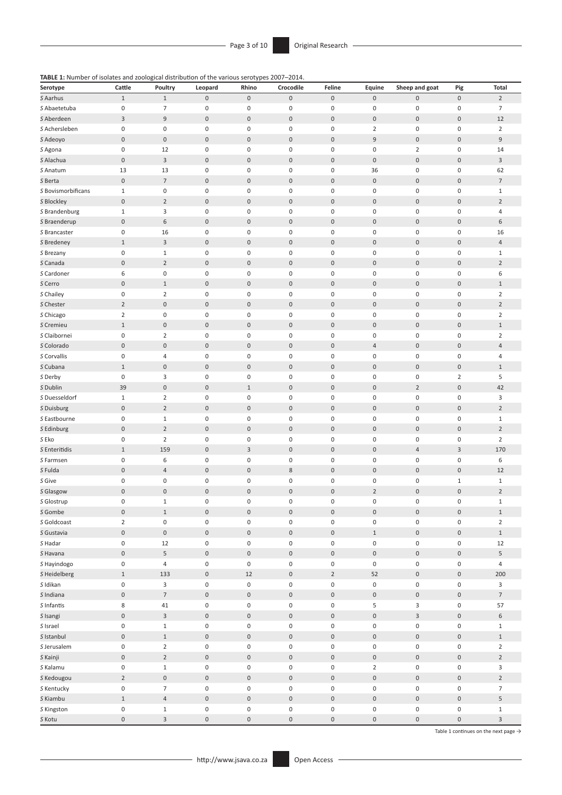**TABLE 1:** Number of isolates and zoological distribution of the various serotypes 2007–2014.

| Serotype                 | Cattle           | Poultry          | Leopard          | Rhino            | Crocodile           | Feline           | Equine              | Sheep and goat      | Pig                 | <b>Total</b>              |
|--------------------------|------------------|------------------|------------------|------------------|---------------------|------------------|---------------------|---------------------|---------------------|---------------------------|
| S Aarhus                 | $1\,$            | $\mathbf 1$      | $\mathbf 0$      | $\boldsymbol{0}$ | $\mathsf{O}\xspace$ | $\bf{0}$         | $\boldsymbol{0}$    | $\pmb{0}$           | $\boldsymbol{0}$    | $\mathbf 2$               |
| S Abaetetuba             | 0                | $\overline{7}$   | $\mathbf 0$      | $\boldsymbol{0}$ | $\mathbf 0$         | $\boldsymbol{0}$ | $\mathbf 0$         | $\pmb{0}$           | $\boldsymbol{0}$    | $\overline{7}$            |
| S Aberdeen               | 3                | $\mathsf 9$      | $\boldsymbol{0}$ | $\boldsymbol{0}$ | $\boldsymbol{0}$    | $\boldsymbol{0}$ | $\boldsymbol{0}$    | $\mathbf 0$         | $\boldsymbol{0}$    | 12                        |
| S Achersleben            | $\pmb{0}$        | $\mathbf 0$      | 0                | $\mathbf 0$      | 0                   | $\pmb{0}$        | $\overline{2}$      | $\boldsymbol{0}$    | $\boldsymbol{0}$    | $\overline{2}$            |
| S Adeoyo                 | $\boldsymbol{0}$ | $\boldsymbol{0}$ | $\boldsymbol{0}$ | $\boldsymbol{0}$ | $\boldsymbol{0}$    | $\boldsymbol{0}$ | 9                   | $\boldsymbol{0}$    | $\boldsymbol{0}$    | $\mathsf 9$               |
| S Agona                  | $\boldsymbol{0}$ | 12               | $\boldsymbol{0}$ | $\mathbf 0$      | $\boldsymbol{0}$    | $\pmb{0}$        | 0                   | $\overline{2}$      | $\boldsymbol{0}$    | 14                        |
| S Alachua                | $\mathbf 0$      | $\overline{3}$   | $\boldsymbol{0}$ | $\bf 0$          | $\boldsymbol{0}$    | $\mathbf 0$      | $\boldsymbol{0}$    | $\boldsymbol{0}$    | $\boldsymbol{0}$    | $\mathsf 3$               |
| S Anatum                 | 13               | 13               | 0                | $\mathbf 0$      | 0                   | $\mathbf 0$      | 36                  | $\boldsymbol{0}$    | $\boldsymbol{0}$    | 62                        |
| S Berta                  | $\boldsymbol{0}$ | $\overline{7}$   | $\boldsymbol{0}$ | $\boldsymbol{0}$ | $\boldsymbol{0}$    | $\mathbf 0$      | $\boldsymbol{0}$    | $\boldsymbol{0}$    | $\boldsymbol{0}$    | $\overline{7}$            |
| S Bovismorbificans       | $\mathbf{1}$     | $\boldsymbol{0}$ | $\pmb{0}$        | $\mathbf 0$      | 0                   | $\boldsymbol{0}$ | 0                   | $\boldsymbol{0}$    | $\boldsymbol{0}$    | $\mathbf 1$               |
| S Blockley               | $\mathbf 0$      | $\overline{2}$   | $\boldsymbol{0}$ | $\boldsymbol{0}$ | $\boldsymbol{0}$    | $\boldsymbol{0}$ | $\boldsymbol{0}$    | $\boldsymbol{0}$    | $\boldsymbol{0}$    | $\overline{2}$            |
| S Brandenburg            | $\mathbf{1}$     | $\overline{3}$   | $\boldsymbol{0}$ | $\mathbf 0$      | $\boldsymbol{0}$    | $\mathbf 0$      | 0                   | $\boldsymbol{0}$    | $\boldsymbol{0}$    | $\overline{4}$            |
| S Braenderup             | $\boldsymbol{0}$ | 6                | $\boldsymbol{0}$ | $\boldsymbol{0}$ | $\boldsymbol{0}$    | $\mathbf 0$      | $\boldsymbol{0}$    | $\boldsymbol{0}$    | $\boldsymbol{0}$    | 6                         |
| S Brancaster             | 0                | 16               | 0                | $\pmb{0}$        | 0                   | $\mathbf 0$      | 0                   | $\boldsymbol{0}$    | $\boldsymbol{0}$    | 16                        |
| S Bredeney               | $\mathbf{1}$     | $\overline{3}$   | $\boldsymbol{0}$ | $\boldsymbol{0}$ | $\boldsymbol{0}$    | $\boldsymbol{0}$ | $\boldsymbol{0}$    | $\boldsymbol{0}$    | $\boldsymbol{0}$    | $\sqrt{4}$                |
| S Brezany                | 0                | $\,1\,$          | 0                | $\boldsymbol{0}$ | 0                   | $\boldsymbol{0}$ | 0                   | $\boldsymbol{0}$    | $\boldsymbol{0}$    | $\mathbf 1$               |
| S Canada                 | $\boldsymbol{0}$ | $\overline{2}$   | $\boldsymbol{0}$ | $\boldsymbol{0}$ | $\boldsymbol{0}$    | $\boldsymbol{0}$ | $\boldsymbol{0}$    | $\mathbf 0$         | $\boldsymbol{0}$    | $\mathbf 2$               |
| S Cardoner               | 6                | $\boldsymbol{0}$ | 0                | $\mathbf 0$      | 0                   | $\mathbf 0$      | 0                   | $\boldsymbol{0}$    | $\boldsymbol{0}$    | 6                         |
| S Cerro                  | $\boldsymbol{0}$ | $1\,$            | $\boldsymbol{0}$ | $\bf 0$          | $\boldsymbol{0}$    | $\boldsymbol{0}$ | $\boldsymbol{0}$    | $\boldsymbol{0}$    | $\boldsymbol{0}$    | $\,1\,$                   |
| S Chailey                | $\pmb{0}$        | $\overline{2}$   | 0                | $\mathbf 0$      | 0                   | $\mathbf 0$      | 0                   | $\boldsymbol{0}$    | $\boldsymbol{0}$    | $\overline{2}$            |
| S Chester                | $\overline{2}$   | $\boldsymbol{0}$ | $\boldsymbol{0}$ | $\mathbf 0$      | $\boldsymbol{0}$    | $\boldsymbol{0}$ | $\boldsymbol{0}$    | $\mathbf 0$         | $\boldsymbol{0}$    | $\mathbf 2$               |
| S Chicago                | $\overline{2}$   | $\mathbf 0$      | $\pmb{0}$        | $\boldsymbol{0}$ | $\pmb{0}$           | $\mathbf 0$      | 0                   | $\boldsymbol{0}$    | $\boldsymbol{0}$    | $\overline{2}$            |
| S Cremieu                | $1\,$            | $\boldsymbol{0}$ | $\boldsymbol{0}$ | $\bf 0$          | $\boldsymbol{0}$    | $\boldsymbol{0}$ | $\boldsymbol{0}$    | $\boldsymbol{0}$    | $\boldsymbol{0}$    | $\,1\,$                   |
| S Claibornei             | $\boldsymbol{0}$ | $\overline{2}$   | $\boldsymbol{0}$ | $\mathbf 0$      | 0                   | $\boldsymbol{0}$ | 0                   | $\boldsymbol{0}$    | $\boldsymbol{0}$    | $\mathbf 2$               |
| S Colorado               | $\boldsymbol{0}$ | $\boldsymbol{0}$ | $\boldsymbol{0}$ | $\bf 0$          | $\boldsymbol{0}$    | $\boldsymbol{0}$ | 4                   | $\boldsymbol{0}$    | $\boldsymbol{0}$    | $\sqrt{4}$                |
| S Corvallis              | 0                | $\overline{4}$   | 0                | $\mathbf 0$      | 0                   | $\mathbf 0$      | 0                   | $\boldsymbol{0}$    | $\boldsymbol{0}$    | $\overline{4}$            |
| S Cubana                 | $\mathbf{1}$     | $\boldsymbol{0}$ | $\boldsymbol{0}$ | $\boldsymbol{0}$ | $\boldsymbol{0}$    | $\boldsymbol{0}$ | $\boldsymbol{0}$    | $\mathbf 0$         | $\boldsymbol{0}$    | $1\,$                     |
| S Derby                  | $\boldsymbol{0}$ | $\overline{3}$   | 0                | $\mathbf 0$      | $\pmb{0}$           | $\mathbf 0$      | 0                   | $\boldsymbol{0}$    | $\overline{2}$      | 5                         |
| S Dublin                 | 39               | $\boldsymbol{0}$ | $\boldsymbol{0}$ | $1\,$            | $\boldsymbol{0}$    | $\mathbf 0$      | $\boldsymbol{0}$    | $\mathbf 2$         | $\bf 0$             | 42                        |
| S Duesseldorf            | $\mathbf{1}$     | $\mathbf 2$      | 0                | $\boldsymbol{0}$ | 0                   | $\boldsymbol{0}$ | 0                   | $\boldsymbol{0}$    | $\boldsymbol{0}$    | 3                         |
| S Duisburg               | $\boldsymbol{0}$ | $\overline{2}$   | $\boldsymbol{0}$ | $\boldsymbol{0}$ | $\boldsymbol{0}$    | $\boldsymbol{0}$ | $\boldsymbol{0}$    | $\boldsymbol{0}$    | $\boldsymbol{0}$    | $\sqrt{2}$                |
| S Eastbourne             | 0                | $\,1\,$          | 0                | $\pmb{0}$        | 0                   | $\mathbf 0$      | 0                   | $\boldsymbol{0}$    | $\boldsymbol{0}$    | $\mathbf 1$               |
| S Edinburg               | $\pmb{0}$        | $\mathbf 2$      | $\boldsymbol{0}$ | $\mathbf 0$      | $\boldsymbol{0}$    | $\boldsymbol{0}$ | $\boldsymbol{0}$    | $\mathbf 0$         | $\boldsymbol{0}$    | $\mathbf 2$               |
| S Eko                    | $\pmb{0}$        | $\mathbf 2$      | $\pmb{0}$        | $\mathbf 0$      | $\pmb{0}$           | $\pmb{0}$        | 0                   | $\boldsymbol{0}$    | $\boldsymbol{0}$    | $\overline{2}$            |
| S Enteritidis            | $1\,$            | 159              | $\boldsymbol{0}$ | $\overline{3}$   | $\boldsymbol{0}$    | $\mathbf 0$      | $\boldsymbol{0}$    | $\overline{4}$      | $\mathsf 3$         | 170                       |
| S Farmsen                | 0                | 6                | $\boldsymbol{0}$ | $\pmb{0}$        | 0                   | $\boldsymbol{0}$ | 0                   | $\boldsymbol{0}$    | $\boldsymbol{0}$    | 6                         |
| S Fulda                  | $\boldsymbol{0}$ | $\sqrt{4}$       | $\boldsymbol{0}$ | $\bf 0$          | $\,$ 8 $\,$         | $\boldsymbol{0}$ | $\boldsymbol{0}$    | $\boldsymbol{0}$    | $\boldsymbol{0}$    | 12                        |
| S Give                   | 0                | $\mathbf 0$      | 0                | $\mathbf 0$      | 0                   | $\mathbf 0$      | 0                   | $\boldsymbol{0}$    | $1\,$               | $\mathbf 1$               |
| S Glasgow                | $\boldsymbol{0}$ | $\boldsymbol{0}$ | $\boldsymbol{0}$ | $\pmb{0}$        | $\boldsymbol{0}$    | $\boldsymbol{0}$ | $\overline{2}$      | $\mathbf 0$         | $\boldsymbol{0}$    | $\mathbf 2$               |
| S Glostrup               | 0                | $1\,$            | 0                | $\mathbf 0$      | 0                   | $\mathbf 0$      | 0                   | $\boldsymbol{0}$    | $\boldsymbol{0}$    | $1\,$                     |
| S Gombe                  | $\mathbf 0$      | $\,1\,$          | $\boldsymbol{0}$ | $\boldsymbol{0}$ | $\boldsymbol{0}$    | $\boldsymbol{0}$ | $\boldsymbol{0}$    | $\,0\,$             | $\mathsf{O}\xspace$ | $\,1\,$                   |
| S Goldcoast              | $\overline{2}$   | $\boldsymbol{0}$ | $\mathbf 0$      | $\boldsymbol{0}$ | $\mathbf 0$         | $\boldsymbol{0}$ | $\mathbf 0$         | $\pmb{0}$           | $\boldsymbol{0}$    | $\overline{2}$            |
| S Gustavia               | 0                | $\boldsymbol{0}$ | $\boldsymbol{0}$ | $\boldsymbol{0}$ | 0                   | $\boldsymbol{0}$ | $\mathbf{1}$        | $\mathsf{O}\xspace$ | $\mathsf{O}\xspace$ | $\,1\,$                   |
| S Hadar                  | 0                | 12               | 0                | $\boldsymbol{0}$ | 0                   | $\boldsymbol{0}$ | 0                   | $\boldsymbol{0}$    | $\boldsymbol{0}$    | 12                        |
| S Havana                 | $\boldsymbol{0}$ | 5                | $\mathbf 0$      | $\boldsymbol{0}$ | $\boldsymbol{0}$    | $\boldsymbol{0}$ | $\mathbf 0$         | $\boldsymbol{0}$    | $\boldsymbol{0}$    | 5                         |
| S Hayindogo              | 0                | $\sqrt{4}$       | 0                | $\boldsymbol{0}$ | 0                   | $\pmb{0}$        | 0                   | $\boldsymbol{0}$    | $\boldsymbol{0}$    | $\overline{4}$            |
|                          | $1\,$            | 133              | $\boldsymbol{0}$ | 12               | $\boldsymbol{0}$    | $\mathbf 2$      | 52                  | $\boldsymbol{0}$    | $\mathbf 0$         | 200                       |
| S Heidelberg<br>S Idikan | $\mathbf 0$      | 3                | $\mathbf 0$      | $\boldsymbol{0}$ | $\mathbf 0$         | $\boldsymbol{0}$ | $\mathbf 0$         | $\pmb{0}$           | $\boldsymbol{0}$    | 3                         |
| S Indiana                | $\boldsymbol{0}$ | $\overline{7}$   | $\boldsymbol{0}$ | $\boldsymbol{0}$ | 0                   | $\boldsymbol{0}$ | $\boldsymbol{0}$    | $\mathsf{O}\xspace$ | $\mathsf{O}\xspace$ | $\overline{7}$            |
|                          |                  |                  |                  |                  |                     |                  |                     |                     |                     |                           |
| S Infantis               | 8                | 41               | 0                | $\boldsymbol{0}$ | 0                   | $\boldsymbol{0}$ | 5                   | 3                   | $\mathbf 0$         | 57                        |
| S Isangi                 | $\boldsymbol{0}$ | $\overline{3}$   | $\boldsymbol{0}$ | $\boldsymbol{0}$ | $\boldsymbol{0}$    | $\boldsymbol{0}$ | $\mathsf{O}\xspace$ | $\mathsf 3$         | $\boldsymbol{0}$    | $\,$ 6 $\,$               |
| S Israel                 | 0                | $\mathbf 1$      | $\boldsymbol{0}$ | $\boldsymbol{0}$ | 0                   | $\boldsymbol{0}$ | 0                   | $\boldsymbol{0}$    | $\mathbf 0$         | $\,1\,$                   |
| S Istanbul               | $\boldsymbol{0}$ | $\,1\,$          | $\boldsymbol{0}$ | $\boldsymbol{0}$ | $\boldsymbol{0}$    | $\boldsymbol{0}$ | $\boldsymbol{0}$    | $\boldsymbol{0}$    | $\mathbf 0$         | $\,1\,$                   |
| S Jerusalem              | 0                | $\overline{2}$   | $\mathbf 0$      | $\boldsymbol{0}$ | $\mathbf 0$         | $\boldsymbol{0}$ | $\mathbf 0$         | $\pmb{0}$           | $\boldsymbol{0}$    | $\overline{2}$            |
| S Kainji                 | $\boldsymbol{0}$ | $\mathbf 2$      | $\boldsymbol{0}$ | $\boldsymbol{0}$ | 0                   | $\boldsymbol{0}$ | 0                   | $\mathsf{O}\xspace$ | $\mathsf{O}\xspace$ | $\mathbf 2$               |
| S Kalamu                 | 0                | $\,1\,$          | 0                | $\boldsymbol{0}$ | 0                   | $\boldsymbol{0}$ | $\overline{2}$      | $\boldsymbol{0}$    | $\boldsymbol{0}$    | 3                         |
| S Kedougou               | $\overline{2}$   | $\boldsymbol{0}$ | $\mathbf 0$      | $\boldsymbol{0}$ | $\boldsymbol{0}$    | $\boldsymbol{0}$ | $\mathsf{O}\xspace$ | $\boldsymbol{0}$    | $\boldsymbol{0}$    | $\overline{2}$            |
| S Kentucky               | 0                | $\overline{7}$   | 0                | $\boldsymbol{0}$ | 0                   | $\pmb{0}$        | 0                   | 0                   | $\boldsymbol{0}$    | $\overline{7}$            |
| S Kiambu                 | $1\,$            | $\overline{4}$   | $\boldsymbol{0}$ | $\boldsymbol{0}$ | $\boldsymbol{0}$    | $\boldsymbol{0}$ | $\boldsymbol{0}$    | $\boldsymbol{0}$    | $\mathbf 0$         | 5                         |
| S Kingston               | $\mathbf 0$      | $\,1\,$          | $\mathbf 0$      | $\boldsymbol{0}$ | $\mathbf 0$         | $\boldsymbol{0}$ | $\mathbf 0$         | $\pmb{0}$           | $\boldsymbol{0}$    | $\mathbf 1$               |
| S Kotu                   | 0                | $\overline{3}$   | 0                | $\boldsymbol{0}$ | 0                   | $\boldsymbol{0}$ | 0                   | $\mathsf{O}\xspace$ | $\mathsf{O}\xspace$ | $\ensuremath{\mathsf{3}}$ |

Table 1 continues on the next page  $\rightarrow$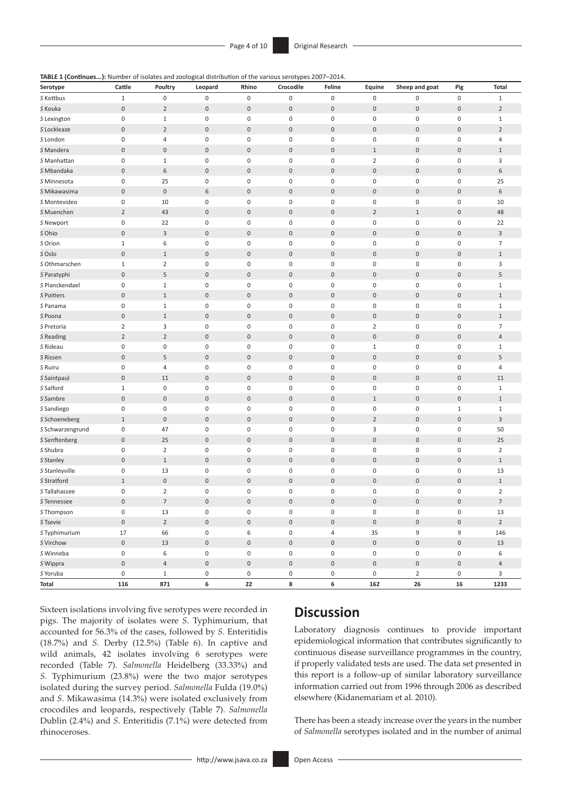|  | TABLE 1 (Continues): Number of isolates and zoological distribution of the various serotypes 2007-2014. |  |
|--|---------------------------------------------------------------------------------------------------------|--|
|--|---------------------------------------------------------------------------------------------------------|--|

| Serotype         | Cattle              | Poultry          | Leopard             | Rhino               | Crocodile           | Feline              | Equine              | Sheep and goat      | Pig                 | <b>Total</b>   |
|------------------|---------------------|------------------|---------------------|---------------------|---------------------|---------------------|---------------------|---------------------|---------------------|----------------|
| S Kottbus        | $\mathbf 1$         | $\mathbf 0$      | $\boldsymbol{0}$    | $\mathbf 0$         | $\pmb{0}$           | $\mathbf 0$         | 0                   | $\pmb{0}$           | $\mathbf 0$         | $1\,$          |
| S Kouka          | $\mathbf 0$         | $\overline{2}$   | $\boldsymbol{0}$    | $\boldsymbol{0}$    | $\bf 0$             | $\boldsymbol{0}$    | $\boldsymbol{0}$    | $\mathbf 0$         | $\mathbf 0$         | $\overline{2}$ |
| S Lexington      | 0                   | $\mathbf 1$      | $\boldsymbol{0}$    | $\mathbf 0$         | 0                   | $\mathbf 0$         | $\boldsymbol{0}$    | $\pmb{0}$           | $\pmb{0}$           | $\,1\,$        |
| S Lockleaze      | $\boldsymbol{0}$    | $\overline{2}$   | $\boldsymbol{0}$    | $\boldsymbol{0}$    | $\boldsymbol{0}$    | $\boldsymbol{0}$    | $\boldsymbol{0}$    | $\mathbf 0$         | $\mathsf{O}\xspace$ | $\overline{2}$ |
| S London         | 0                   | $\overline{4}$   | 0                   | $\mathbf 0$         | 0                   | $\mathbf 0$         | 0                   | $\mathbf 0$         | $\boldsymbol{0}$    | $\overline{4}$ |
| S Mandera        | $\boldsymbol{0}$    | $\boldsymbol{0}$ | $\boldsymbol{0}$    | $\boldsymbol{0}$    | $\boldsymbol{0}$    | $\boldsymbol{0}$    | $1\,$               | $\boldsymbol{0}$    | $\mathsf{O}\xspace$ | $\,1\,$        |
| S Manhattan      | 0                   | $1\,$            | $\pmb{0}$           | $\mathbf 0$         | $\pmb{0}$           | $\mathbf 0$         | $\overline{2}$      | $\pmb{0}$           | $\boldsymbol{0}$    | 3              |
| S Mbandaka       | $\boldsymbol{0}$    | 6                | $\boldsymbol{0}$    | $\bf 0$             | $\boldsymbol{0}$    | $\mathbf 0$         | $\boldsymbol{0}$    | $\mathbf 0$         | $\mathsf{O}\xspace$ | 6              |
| S Minnesota      | 0                   | 25               | 0                   | $\boldsymbol{0}$    | 0                   | $\boldsymbol{0}$    | $\mathbf 0$         | $\pmb{0}$           | $\mathbf 0$         | 25             |
| S Mikawasima     | 0                   | $\mathbf 0$      | 6                   | $\boldsymbol{0}$    | 0                   | $\boldsymbol{0}$    | $\boldsymbol{0}$    | $\mathbf 0$         | $\mathsf{O}\xspace$ | $\,6\,$        |
| S Montevideo     | 0                   | 10               | $\mathbf 0$         | $\mathbf 0$         | 0                   | $\mathbf 0$         | $\boldsymbol{0}$    | $\mathbf 0$         | $\mathbf 0$         | 10             |
| S Muenchen       | $\overline{2}$      | 43               | $\boldsymbol{0}$    | $\mathbf 0$         | $\pmb{0}$           | $\boldsymbol{0}$    | $\overline{2}$      | $\mathbf{1}$        | $\mathsf{O}\xspace$ | 48             |
| S Newport        | $\pmb{0}$           | 22               | $\pmb{0}$           | $\boldsymbol{0}$    | $\pmb{0}$           | $\mathbf 0$         | $\pmb{0}$           | $\pmb{0}$           | $\boldsymbol{0}$    | 22             |
| S Ohio           | $\boldsymbol{0}$    | $\mathsf 3$      | $\boldsymbol{0}$    | $\bf 0$             | $\boldsymbol{0}$    | $\boldsymbol{0}$    | $\boldsymbol{0}$    | $\mathbf 0$         | $\mathsf{O}\xspace$ | $\mathsf 3$    |
| S Orion          | 1                   | 6                | 0                   | $\pmb{0}$           | 0                   | $\boldsymbol{0}$    | 0                   | $\pmb{0}$           | $\boldsymbol{0}$    | $\overline{7}$ |
| S Oslo           | $\boldsymbol{0}$    | $1\,$            | $\boldsymbol{0}$    | $\boldsymbol{0}$    | $\boldsymbol{0}$    | $\boldsymbol{0}$    | $\boldsymbol{0}$    | $\mathbf 0$         | $\mathsf{O}\xspace$ | $1\,$          |
| S Othmarschen    | $\mathbf{1}$        | $\overline{2}$   | 0                   | $\mathbf 0$         | 0                   | $\mathbf 0$         | $\boldsymbol{0}$    | $\mathbf 0$         | $\mathbf 0$         | $\mathsf 3$    |
| S Paratyphi      | $\boldsymbol{0}$    | 5                | $\boldsymbol{0}$    | $\boldsymbol{0}$    | $\boldsymbol{0}$    | $\boldsymbol{0}$    | $\boldsymbol{0}$    | $\mathbf 0$         | $\mathsf{O}\xspace$ | $\sqrt{5}$     |
| S Planckendael   | 0                   | $\,1\,$          | $\pmb{0}$           | $\mathbf 0$         | $\pmb{0}$           | $\mathbf 0$         | $\boldsymbol{0}$    | $\pmb{0}$           | $\boldsymbol{0}$    | $1\,$          |
| S Poitiers       | $\boldsymbol{0}$    | $\mathbf{1}$     | $\boldsymbol{0}$    | $\bf 0$             | $\boldsymbol{0}$    | $\boldsymbol{0}$    | $\boldsymbol{0}$    | $\mathbf 0$         | $\mathbf 0$         | $1\,$          |
| S Panama         | 0                   | $\,1\,$          | $\boldsymbol{0}$    | $\boldsymbol{0}$    | 0                   | $\boldsymbol{0}$    | $\mathbf 0$         | $\pmb{0}$           | $\pmb{0}$           | $\,1\,$        |
| S Poona          | $\boldsymbol{0}$    | $1\,$            | $\boldsymbol{0}$    | $\boldsymbol{0}$    | $\boldsymbol{0}$    | $\boldsymbol{0}$    | $\boldsymbol{0}$    | $\boldsymbol{0}$    | $\boldsymbol{0}$    | $1\,$          |
| S Pretoria       | $\overline{2}$      | 3                | 0                   | $\mathbf 0$         | $\boldsymbol{0}$    | $\mathbf 0$         | $\overline{2}$      | $\pmb{0}$           | $\boldsymbol{0}$    | $\overline{7}$ |
| S Reading        | $\overline{2}$      | $\overline{2}$   | $\boldsymbol{0}$    | $\boldsymbol{0}$    | $\boldsymbol{0}$    | $\boldsymbol{0}$    | $\bf 0$             | $\mathbf 0$         | $\mathsf{O}\xspace$ | $\sqrt{4}$     |
| S Rideau         | 0                   | $\boldsymbol{0}$ | $\pmb{0}$           | $\pmb{0}$           | 0                   | $\pmb{0}$           | $\mathbf{1}$        | $\pmb{0}$           | $\boldsymbol{0}$    | $\,1\,$        |
| S Rissen         | $\boldsymbol{0}$    | 5                | $\pmb{0}$           | $\bf 0$             | $\boldsymbol{0}$    | $\boldsymbol{0}$    | $\boldsymbol{0}$    | $\mathbf 0$         | $\boldsymbol{0}$    | 5              |
| S Ruiru          | 0                   | $\sqrt{4}$       | 0                   | $\mathbf 0$         | 0                   | $\mathbf 0$         | 0                   | $\pmb{0}$           | $\mathbf 0$         | $\overline{4}$ |
| S Saintpaul      | $\boldsymbol{0}$    | 11               | $\boldsymbol{0}$    | $\boldsymbol{0}$    | $\boldsymbol{0}$    | $\boldsymbol{0}$    | $\boldsymbol{0}$    | $\boldsymbol{0}$    | $\boldsymbol{0}$    | 11             |
| S Salford        | $\mathbf 1$         | $\boldsymbol{0}$ | $\boldsymbol{0}$    | $\mathbf 0$         | 0                   | $\boldsymbol{0}$    | $\mathbf 0$         | $\pmb{0}$           | $\mathbf 0$         | $1\,$          |
| S Sambre         | $\boldsymbol{0}$    | $\boldsymbol{0}$ | $\boldsymbol{0}$    | $\mathbf 0$         | $\boldsymbol{0}$    | $\boldsymbol{0}$    | $1\,$               | $\mathbf 0$         | $\mathsf{O}\xspace$ | $1\,$          |
| S Sandiego       | 0                   | $\pmb{0}$        | 0                   | $\pmb{0}$           | 0                   | $\mathbf 0$         | $\boldsymbol{0}$    | $\pmb{0}$           | $1\,$               | $1\,$          |
| S Schoeneberg    | $\mathbf{1}$        | $\mathbf 0$      | $\boldsymbol{0}$    | $\boldsymbol{0}$    | $\boldsymbol{0}$    | $\boldsymbol{0}$    | $\overline{2}$      | $\boldsymbol{0}$    | $\boldsymbol{0}$    | $\mathsf 3$    |
| S Schwarzengrund | 0                   | 47               | 0                   | $\pmb{0}$           | 0                   | $\pmb{0}$           | 3                   | $\pmb{0}$           | $\boldsymbol{0}$    | 50             |
| S Senftenberg    | $\boldsymbol{0}$    | 25               | $\boldsymbol{0}$    | $\boldsymbol{0}$    | $\boldsymbol{0}$    | $\boldsymbol{0}$    | $\boldsymbol{0}$    | $\mathbf 0$         | $\mathsf{O}\xspace$ | 25             |
| S Shubra         | 0                   | $\mathbf 2$      | 0                   | $\mathbf 0$         | 0                   | $\mathbf 0$         | $\pmb{0}$           | $\pmb{0}$           | $\boldsymbol{0}$    | $\mathbf 2$    |
| S Stanley        | $\boldsymbol{0}$    | $\mathbf{1}$     | $\boldsymbol{0}$    | $\boldsymbol{0}$    | $\boldsymbol{0}$    | $\boldsymbol{0}$    | $\boldsymbol{0}$    | $\boldsymbol{0}$    | $\boldsymbol{0}$    | $\,1\,$        |
| S Stanleyville   | 0                   | 13               | $\pmb{0}$           | $\mathbf 0$         | $\boldsymbol{0}$    | $\mathbf 0$         | $\boldsymbol{0}$    | $\pmb{0}$           | $\boldsymbol{0}$    | 13             |
| S Stratford      | $\mathbf{1}$        | $\boldsymbol{0}$ | $\boldsymbol{0}$    | $\boldsymbol{0}$    | $\boldsymbol{0}$    | $\boldsymbol{0}$    | $\boldsymbol{0}$    | $\boldsymbol{0}$    | $\mathsf{O}\xspace$ | $\,1\,$        |
| S Tallahassee    | 0                   | $\overline{2}$   | 0                   | $\mathbf 0$         | 0                   | $\mathbf 0$         | 0                   | $\mathbf 0$         | $\boldsymbol{0}$    | $\overline{2}$ |
| S Tennessee      | $\mathbf 0$         | $\overline{7}$   | $\mathbf{0}$        | $\mathbf 0$         | 0                   | $\mathbf 0$         | 0                   | $\mathbf{0}$        | $\overline{0}$      | $\overline{7}$ |
| S Thompson       | 0                   | 13               | $\pmb{0}$           | $\boldsymbol{0}$    | $\mathsf{O}\xspace$ | $\boldsymbol{0}$    | $\mathsf 0$         | $\,0\,$             | $\pmb{0}$           | 13             |
| S Tsevie         | $\mathbf 0$         | $\mathbf 2$      | $\mathsf{O}\xspace$ | $\mathsf{O}$        | $\mathsf{O}\xspace$ | $\mathbf 0$         | $\mathsf{O}\xspace$ | $\mathbf 0$         | $\mathsf{O}\xspace$ | $\overline{2}$ |
| S Typhimurium    | 17                  | 66               | 0                   | $\,6\,$             | $\boldsymbol{0}$    | $\overline{4}$      | 35                  | 9                   | 9                   | 146            |
| S Virchow        | $\mathsf{O}\xspace$ | 13               | $\mathsf{O}\xspace$ | $\mathsf 0$         | $\mathsf{O}\xspace$ | $\mathsf{O}\xspace$ | $\mathbf 0$         | $\mathsf{O}\xspace$ | $\mathsf{O}\xspace$ | 13             |
| S Winneba        | 0                   | 6                | $\mathsf{O}\xspace$ | $\boldsymbol{0}$    | $\mathsf{O}\xspace$ | $\boldsymbol{0}$    | $\mathsf 0$         | $\,0\,$             | $\boldsymbol{0}$    | 6              |
| S Wippra         | $\mathsf{O}\xspace$ | $\overline{4}$   | $\mathbf 0$         | $\mathsf{O}\xspace$ | $\mathsf{O}\xspace$ | $\mathsf{O}\xspace$ | $\mathsf{O}\xspace$ | $\mathsf{O}\xspace$ | $\mathsf{O}\xspace$ | $\overline{4}$ |
| S Yoruba         | 0                   | $\mathbf{1}$     | 0                   | $\mathbf 0$         | 0                   | $\mathbf 0$         | $\mathbf 0$         | $\overline{2}$      | 0                   | 3              |
| Total            | 116                 | 871              | 6                   | 22                  | 8                   | 6                   | 162                 | ${\bf 26}$          | 16                  | 1233           |

Sixteen isolations involving five serotypes were recorded in pigs. The majority of isolates were *S*. Typhimurium, that accounted for 56.3% of the cases, followed by *S*. Enteritidis (18.7%) and *S.* Derby (12.5%) (Table 6). In captive and wild animals, 42 isolates involving 6 serotypes were recorded (Table 7). *Salmonella* Heidelberg (33.33%) and *S.* Typhimurium (23.8%) were the two major serotypes isolated during the survey period. *Salmonella* Fulda (19.0%) and *S*. Mikawasima (14.3%) were isolated exclusively from crocodiles and leopards, respectively (Table 7). *Salmonella* Dublin (2.4%) and *S*. Enteritidis (7.1%) were detected from rhinoceroses.

# **Discussion**

Laboratory diagnosis continues to provide important epidemiological information that contributes significantly to continuous disease surveillance programmes in the country, if properly validated tests are used. The data set presented in this report is a follow-up of similar laboratory surveillance information carried out from 1996 through 2006 as described elsewhere (Kidanemariam et al*.* 2010).

There has been a steady increase over the years in the number of *Salmonella* serotypes isolated and in the number of animal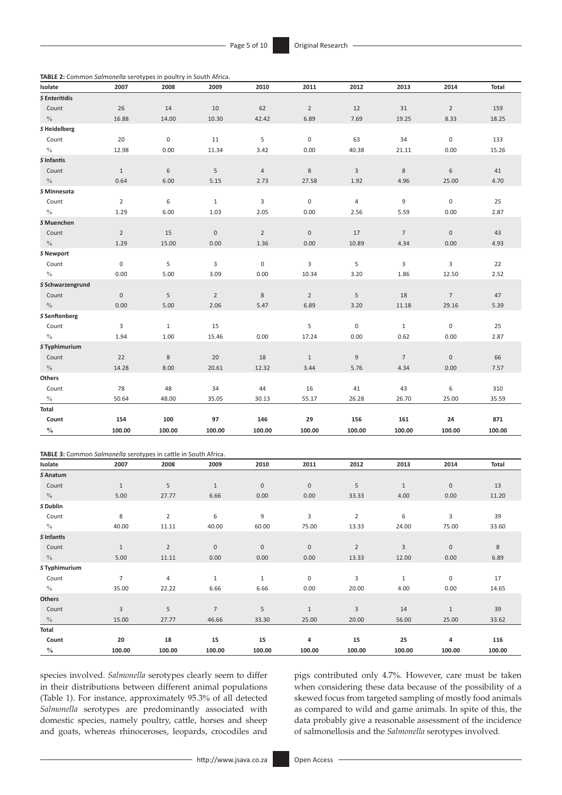**TABLE 2:** Common *Salmonella* serotypes in poultry in South Africa.

| Isolate                    | 2007           | 2008         | 2009           | 2010           | 2011           | 2012           | 2013           | 2014           | Total  |
|----------------------------|----------------|--------------|----------------|----------------|----------------|----------------|----------------|----------------|--------|
| S Enteritidis              |                |              |                |                |                |                |                |                |        |
| Count                      | 26             | 14           | 10             | 62             | $\overline{2}$ | 12             | 31             | $\overline{2}$ | 159    |
| $\frac{0}{0}$              | 16.88          | 14.00        | 10.30          | 42.42          | 6.89           | 7.69           | 19.25          | 8.33           | 18.25  |
| S Heidelberg               |                |              |                |                |                |                |                |                |        |
| Count                      | 20             | $\mathbf 0$  | 11             | 5              | $\mathbf 0$    | 63             | 34             | $\mathbf 0$    | 133    |
| $\frac{0}{0}$              | 12.98          | 0.00         | 11.34          | 3.42           | 0.00           | 40.38          | 21.11          | 0.00           | 15.26  |
| S Infantis                 |                |              |                |                |                |                |                |                |        |
| Count                      | $\mathbf{1}$   | $\,$ 6 $\,$  | 5              | $\sqrt{4}$     | $\,8\,$        | 3              | $\bf 8$        | $\,6\,$        | 41     |
| $\frac{0}{0}$              | 0.64           | 6.00         | 5.15           | 2.73           | 27.58          | 1.92           | 4.96           | 25.00          | 4.70   |
| S Minnesota                |                |              |                |                |                |                |                |                |        |
| Count                      | $\overline{2}$ | 6            | $\mathbf{1}$   | 3              | $\mathbf 0$    | $\overline{4}$ | 9              | $\mathbf 0$    | 25     |
| $\%$                       | 1.29           | 6.00         | 1.03           | 2.05           | 0.00           | 2.56           | 5.59           | 0.00           | 2.87   |
| S Muenchen                 |                |              |                |                |                |                |                |                |        |
| Count                      | $\overline{2}$ | 15           | $\mathbf 0$    | $\overline{2}$ | $\mathbf 0$    | 17             | $\overline{7}$ | $\mathbf{0}$   | 43     |
| $\frac{0}{0}$              | 1.29           | 15.00        | 0.00           | 1.36           | 0.00           | 10.89          | 4.34           | 0.00           | 4.93   |
| S Newport                  |                |              |                |                |                |                |                |                |        |
| Count                      | $\mathsf 0$    | 5            | 3              | $\pmb{0}$      | 3              | 5              | 3              | 3              | 22     |
| $\%$                       | 0.00           | 5.00         | 3.09           | 0.00           | 10.34          | 3.20           | 1.86           | 12.50          | 2.52   |
| S Schwarzengrund           |                |              |                |                |                |                |                |                |        |
| Count                      | $\mathbf 0$    | 5            | $\overline{2}$ | 8              | $\overline{2}$ | 5              | 18             | $\overline{7}$ | 47     |
| $\frac{0}{0}$              | 0.00           | 5.00         | 2.06           | 5.47           | 6.89           | 3.20           | 11.18          | 29.16          | 5.39   |
| S Senftenberg              |                |              |                |                |                |                |                |                |        |
| Count                      | 3              | $\mathbf{1}$ | 15             |                | 5              | 0              | $\mathbf{1}$   | $\mathbf 0$    | 25     |
| $\frac{0}{0}$              | 1.94           | 1.00         | 15.46          | 0.00           | 17.24          | 0.00           | 0.62           | 0.00           | 2.87   |
| S Typhimurium              |                |              |                |                |                |                |                |                |        |
| Count                      | 22             | $\,8\,$      | 20             | 18             | $\mathbf{1}$   | $\overline{9}$ | $\overline{7}$ | $\mathbf 0$    | 66     |
| $\%$                       | 14.28          | 8.00         | 20.61          | 12.32          | 3.44           | 5.76           | 4.34           | 0.00           | 7.57   |
| Others                     |                |              |                |                |                |                |                |                |        |
| Count                      | 78             | 48           | 34             | 44             | 16             | 41             | 43             | 6              | 310    |
| $\%$                       | 50.64          | 48.00        | 35.05          | 30.13          | 55.17          | 26.28          | 26.70          | 25.00          | 35.59  |
| Total                      |                |              |                |                |                |                |                |                |        |
| Count                      | 154            | 100          | 97             | 146            | 29             | 156            | 161            | 24             | 871    |
| $\mathbf{0/}_{\mathbf{0}}$ | 100.00         | 100.00       | 100.00         | 100.00         | 100.00         | 100.00         | 100.00         | 100.00         | 100.00 |

|               | TABLE 3: Common Salmonella serotypes in cattle in South Africa. |                |                 |                     |              |                |              |              |        |
|---------------|-----------------------------------------------------------------|----------------|-----------------|---------------------|--------------|----------------|--------------|--------------|--------|
| Isolate       | 2007                                                            | 2008           | 2009            | 2010                | 2011         | 2012           | 2013         | 2014         | Total  |
| S Anatum      |                                                                 |                |                 |                     |              |                |              |              |        |
| Count         | $\mathbf{1}$                                                    | 5              | $1\,$           | $\mathbf 0$         | $\mathbf 0$  | 5              | $\mathbf{1}$ | $\bf 0$      | 13     |
| $\frac{0}{0}$ | 5.00                                                            | 27.77          | 6.66            | 0.00                | 0.00         | 33.33          | 4.00         | 0.00         | 11.20  |
| S Dublin      |                                                                 |                |                 |                     |              |                |              |              |        |
| Count         | 8                                                               | $\overline{2}$ | 6               | 9                   | 3            | $\overline{2}$ | 6            | 3            | 39     |
| $\%$          | 40.00                                                           | 11.11          | 40.00           | 60.00               | 75.00        | 13.33          | 24.00        | 75.00        | 33.60  |
| S Infantis    |                                                                 |                |                 |                     |              |                |              |              |        |
| Count         | $\mathbf{1}$                                                    | $\overline{2}$ | $\bf 0$         | $\mathsf{O}\xspace$ | $\mathbf 0$  | $\overline{2}$ | $\mathbf{3}$ | $\bf 0$      | 8      |
| $\frac{0}{0}$ | 5.00                                                            | 11.11          | 0.00            | 0.00                | 0.00         | 13.33          | 12.00        | 0.00         | 6.89   |
| S Typhimurium |                                                                 |                |                 |                     |              |                |              |              |        |
| Count         | $\overline{7}$                                                  | $\overline{4}$ | $\mathbf{1}$    | $\mathbf{1}$        | $\mathbf 0$  | 3              | $\mathbf{1}$ | $\mathbf 0$  | 17     |
| $\%$          | 35.00                                                           | 22.22          | 6.66            | 6.66                | 0.00         | 20.00          | 4.00         | 0.00         | 14.65  |
| <b>Others</b> |                                                                 |                |                 |                     |              |                |              |              |        |
| Count         | 3                                                               | 5              | $7\overline{ }$ | 5                   | $\mathbf{1}$ | 3              | 14           | $\mathbf{1}$ | 39     |
| $\%$          | 15.00                                                           | 27.77          | 46.66           | 33.30               | 25.00        | 20.00          | 56.00        | 25.00        | 33.62  |
| Total         |                                                                 |                |                 |                     |              |                |              |              |        |
| Count         | 20                                                              | 18             | 15              | 15                  | 4            | 15             | 25           | 4            | 116    |
| $\frac{0}{0}$ | 100.00                                                          | 100.00         | 100.00          | 100.00              | 100.00       | 100.00         | 100.00       | 100.00       | 100.00 |

species involved. *Salmonella* serotypes clearly seem to differ in their distributions between different animal populations (Table 1). For instance, approximately 95.3% of all detected *Salmonella* serotypes are predominantly associated with domestic species, namely poultry, cattle, horses and sheep and goats, whereas rhinoceroses, leopards, crocodiles and pigs contributed only 4.7%. However, care must be taken when considering these data because of the possibility of a skewed focus from targeted sampling of mostly food animals as compared to wild and game animals. In spite of this, the data probably give a reasonable assessment of the incidence of salmonellosis and the *Salmonella* serotypes involved.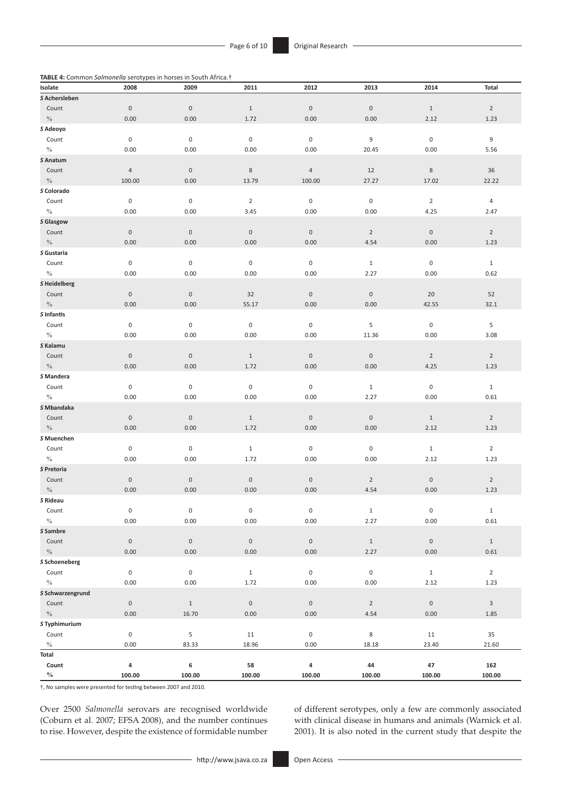**TABLE 4:** Common *Salmonella* serotypes in horses in South Africa.†

| $-1 - 1 = 1$<br>Isolate | 2008                | 2009                | 2011                | 2012                | 2013                | 2014                | Total          |
|-------------------------|---------------------|---------------------|---------------------|---------------------|---------------------|---------------------|----------------|
| S Achersleben           |                     |                     |                     |                     |                     |                     |                |
| Count                   | $\boldsymbol{0}$    | $\mathsf{0}$        | $1\,$               | $\boldsymbol{0}$    | $\mathbf 0$         | $1\,$               | $\overline{2}$ |
| $\%$                    | 0.00                | 0.00                | 1.72                | 0.00                | 0.00                | 2.12                | 1.23           |
| S Adeoyo                |                     |                     |                     |                     |                     |                     |                |
| Count                   | $\mathbf 0$         | $\mathbf 0$         | $\mathsf{O}\xspace$ | $\boldsymbol{0}$    | 9                   | $\,0\,$             | 9              |
| $\%$                    | 0.00                | 0.00                | 0.00                | 0.00                | 20.45               | 0.00                | 5.56           |
| S Anatum                |                     |                     |                     |                     |                     |                     |                |
| Count                   | $\overline{4}$      | $\mathsf{O}\xspace$ | $\,$ 8 $\,$         | $\sqrt{4}$          | 12                  | $\,$ 8 $\,$         | 36             |
| $\%$                    | 100.00              | 0.00                | 13.79               | 100.00              | 27.27               | 17.02               | 22.22          |
| S Colorado              |                     |                     |                     |                     |                     |                     |                |
| Count                   | 0                   | $\boldsymbol{0}$    | $\overline{2}$      | $\boldsymbol{0}$    | $\boldsymbol{0}$    | $\overline{2}$      | 4              |
| $\%$                    | 0.00                | 0.00                | 3.45                | 0.00                | 0.00                | 4.25                | 2.47           |
| S Glasgow               |                     |                     |                     |                     |                     |                     |                |
| Count                   | $\mathsf{O}\xspace$ | $\mathbf 0$         | $\mathsf{O}\xspace$ | $\mathsf{O}\xspace$ | $\overline{2}$      | $\mathsf{O}\xspace$ | $\overline{2}$ |
| $\%$                    | 0.00                | 0.00                | 0.00                | 0.00                | 4.54                | 0.00                | 1.23           |
| S Gustaria              |                     |                     |                     |                     |                     |                     |                |
| Count                   | $\boldsymbol{0}$    | $\mathsf{O}\xspace$ | $\mathsf{O}\xspace$ | $\boldsymbol{0}$    | $\mathbf{1}$        | $\boldsymbol{0}$    | $\mathbf{1}$   |
| $\%$                    | 0.00                | 0.00                | 0.00                | 0.00                | 2.27                | 0.00                | 0.62           |
| S Heidelberg            |                     |                     |                     |                     |                     |                     |                |
| Count                   | $\mathbf 0$         | $\mathbf 0$         | 32                  | $\boldsymbol{0}$    | $\mathsf{O}\xspace$ | 20                  | 52             |
| $\%$                    | 0.00                | 0.00                | 55.17               | 0.00                | 0.00                | 42.55               | 32.1           |
| S Infantis              |                     |                     |                     |                     |                     |                     |                |
| Count                   | $\boldsymbol{0}$    | $\mathbf 0$         | $\pmb{0}$           | $\boldsymbol{0}$    | 5                   | $\,0\,$             | 5              |
| $\%$                    | 0.00                | 0.00                | 0.00                | 0.00                | 11.36               | 0.00                | 3.08           |
| S Kalamu                |                     |                     |                     |                     |                     |                     |                |
| Count                   | $\mathbf 0$         | $\mathbf 0$         | $\mathbf{1}$        | $\boldsymbol{0}$    | $\mathbf 0$         | $\overline{2}$      | $\overline{2}$ |
| $\%$                    | 0.00                | 0.00                | 1.72                | 0.00                | 0.00                | 4.25                | 1.23           |
| S Mandera               |                     |                     |                     |                     |                     |                     |                |
| Count                   | $\boldsymbol{0}$    | 0                   | $\pmb{0}$           | $\boldsymbol{0}$    | $\mathbf{1}$        | $\boldsymbol{0}$    | $\mathbf{1}$   |
| $\%$                    | 0.00                | 0.00                | 0.00                | 0.00                | 2.27                | 0.00                | 0.61           |
| S Mbandaka              |                     |                     |                     |                     |                     |                     |                |
| Count                   | $\boldsymbol{0}$    | $\mathsf{O}\xspace$ | $\mathbf{1}$        | $\boldsymbol{0}$    | $\boldsymbol{0}$    | $\mathbf{1}$        | $\overline{2}$ |
| $\%$                    | 0.00                | 0.00                | 1.72                | 0.00                | 0.00                | 2.12                | 1.23           |
| S Muenchen              |                     |                     |                     |                     |                     |                     |                |
| Count                   | $\boldsymbol{0}$    | 0                   | $\mathbf{1}$        | 0                   | $\pmb{0}$           | $\mathbf{1}$        | $\overline{2}$ |
| $\%$                    | 0.00                | 0.00                | 1.72                | 0.00                | 0.00                | 2.12                | 1.23           |
| S Pretoria              |                     |                     |                     |                     |                     |                     |                |
| Count                   | $\boldsymbol{0}$    | $\mathsf{O}\xspace$ | $\boldsymbol{0}$    | $\boldsymbol{0}$    | $\overline{2}$      | $\boldsymbol{0}$    | $\overline{2}$ |
| $\%$                    | 0.00                | 0.00                | 0.00                | 0.00                | 4.54                | 0.00                | 1.23           |
| S Rideau                |                     |                     |                     |                     |                     |                     |                |
| Count                   | $\pmb{0}$           | $\mathsf{O}\xspace$ | $\mathbf 0$         | $\mathbf 0$         | $\,1\,$             | $\mathbf 0$         | $1\,$          |
| $\%$                    | 0.00                | 0.00                | 0.00                | 0.00                | 2.27                | 0.00                | 0.61           |
| S Sambre                |                     |                     |                     |                     |                     |                     |                |
| Count                   | $\mathsf{O}\xspace$ | $\mathsf{O}\xspace$ | $\mathsf{O}\xspace$ | $\mathsf{O}\xspace$ | $1\,$               | $\mathbf 0$         | $1\,$          |
| $\%$                    | 0.00                | 0.00                | 0.00                | 0.00                | 2.27                | 0.00                | 0.61           |
| S Schoeneberg           |                     |                     |                     |                     |                     |                     |                |
| Count                   | $\pmb{0}$           | $\pmb{0}$           | $\,1\,$             | $\pmb{0}$           | $\mathsf{O}\xspace$ | $\mathbf{1}$        | $\overline{2}$ |
| $\%$                    | 0.00                | 0.00                | 1.72                | 0.00                | 0.00                | 2.12                | 1.23           |
| S Schwarzengrund        |                     |                     |                     |                     |                     |                     |                |
| Count                   | $\boldsymbol{0}$    | $1\,$               | $\mathbf 0$         | $\,0\,$             | $\overline{2}$      | $\mathbf 0$         | 3              |
| $\%$                    | 0.00                | 16.70               | 0.00                | 0.00                | 4.54                | 0.00                | 1.85           |
| S Typhimurium           |                     |                     |                     |                     |                     |                     |                |
| Count                   | 0                   | 5                   | 11                  | $\boldsymbol{0}$    | 8                   | 11                  | 35             |
| $\%$                    | 0.00                | 83.33               | 18.96               | 0.00                | 18.18               | 23.40               | 21.60          |
| <b>Total</b>            |                     |                     |                     |                     |                     |                     |                |
| Count                   | 4                   | 6                   | 58                  | 4                   | 44                  | 47                  | 162            |
| $\%$                    | 100.00              | 100.00              | 100.00              | 100.00              | 100.00              | 100.00              | 100.00         |

†, No samples were presented for testing between 2007 and 2010.

Over 2500 *Salmonella* serovars are recognised worldwide (Coburn et al*.* 2007; EFSA 2008), and the number continues to rise. However, despite the existence of formidable number

of different serotypes, only a few are commonly associated with clinical disease in humans and animals (Warnick et al. 2001). It is also noted in the current study that despite the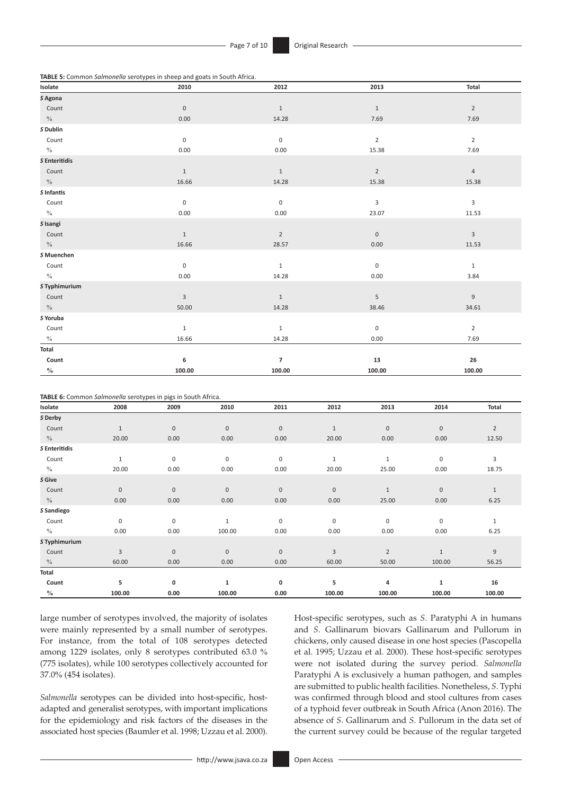**TABLE 5:** Common *Salmonella* serotypes in sheep and goats in South Africa.

| Isolate       | 2010             | 2012                | 2013             | Total                     |
|---------------|------------------|---------------------|------------------|---------------------------|
| S Agona       |                  |                     |                  |                           |
| Count         | $\boldsymbol{0}$ | $\mathbf{1}$        | $\mathbf{1}$     | $\overline{2}$            |
| $\%$          | 0.00             | 14.28               | 7.69             | 7.69                      |
| S Dublin      |                  |                     |                  |                           |
| Count         | $\boldsymbol{0}$ | $\mathsf{O}\xspace$ | $\overline{2}$   | $\overline{2}$            |
| $\%$          | 0.00             | 0.00                | 15.38            | 7.69                      |
| S Enteritidis |                  |                     |                  |                           |
| Count         | $1\,$            | $1\,$               | $\overline{2}$   | $\sqrt{4}$                |
| $\%$          | 16.66            | 14.28               | 15.38            | 15.38                     |
| S Infantis    |                  |                     |                  |                           |
| Count         | $\boldsymbol{0}$ | $\mathsf{O}\xspace$ | 3                | 3                         |
| $\%$          | 0.00             | 0.00                | 23.07            | 11.53                     |
| S Isangi      |                  |                     |                  |                           |
| Count         | $\mathbf{1}$     | $\overline{2}$      | $\boldsymbol{0}$ | $\ensuremath{\mathsf{3}}$ |
| $\%$          | 16.66            | 28.57               | 0.00             | 11.53                     |
| S Muenchen    |                  |                     |                  |                           |
| Count         | $\boldsymbol{0}$ | $\,1\,$             | $\boldsymbol{0}$ | $\mathbf 1$               |
| $\%$          | 0.00             | 14.28               | 0.00             | 3.84                      |
| S Typhimurium |                  |                     |                  |                           |
| Count         | $\mathsf 3$      | $1\,$               | $\overline{5}$   | $\mathsf g$               |
| $\%$          | 50.00            | 14.28               | 38.46            | 34.61                     |
| S Yoruba      |                  |                     |                  |                           |
| Count         | $\mathbf 1$      | $\,1$               | $\,0\,$          | $\overline{2}$            |
| $\%$          | 16.66            | 14.28               | 0.00             | 7.69                      |
| Total         |                  |                     |                  |                           |
| Count         | 6                | $\overline{7}$      | 13               | 26                        |
| $\frac{0}{0}$ | 100.00           | 100.00              | 100.00           | 100.00                    |

|               | TABLE 6: Common Salmonella serotypes in pigs in South Africa. |              |              |             |                |                |              |                |
|---------------|---------------------------------------------------------------|--------------|--------------|-------------|----------------|----------------|--------------|----------------|
| Isolate       | 2008                                                          | 2009         | 2010         | 2011        | 2012           | 2013           | 2014         | <b>Total</b>   |
| S Derby       |                                                               |              |              |             |                |                |              |                |
| Count         | $\mathbf{1}$                                                  | $\mathbf{0}$ | $\bf 0$      | $\mathbf 0$ | $\mathbf{1}$   | $\mathbf{0}$   | $\mathbf 0$  | $\overline{2}$ |
| $\%$          | 20.00                                                         | 0.00         | 0.00         | 0.00        | 20.00          | 0.00           | 0.00         | 12.50          |
| S Enteritidis |                                                               |              |              |             |                |                |              |                |
| Count         | $\mathbf{1}$                                                  | 0            | $\mathbf 0$  | 0           | $\mathbf{1}$   | $\mathbf{1}$   | 0            | 3              |
| $\frac{0}{0}$ | 20.00                                                         | 0.00         | 0.00         | 0.00        | 20.00          | 25.00          | 0.00         | 18.75          |
| S Give        |                                                               |              |              |             |                |                |              |                |
| Count         | $\mathbf 0$                                                   | $\mathbf 0$  | $\mathbf 0$  | $\mathbf 0$ | $\mathbf 0$    | $\mathbf{1}$   | $\mathbf 0$  | $\mathbf{1}$   |
| $\%$          | 0.00                                                          | 0.00         | 0.00         | 0.00        | 0.00           | 25.00          | 0.00         | 6.25           |
| S Sandiego    |                                                               |              |              |             |                |                |              |                |
| Count         | $\mathbf 0$                                                   | 0            | $\mathbf{1}$ | $\mathbf 0$ | $\mathbf 0$    | 0              | 0            | $\mathbf{1}$   |
| $\frac{0}{0}$ | 0.00                                                          | 0.00         | 100.00       | 0.00        | 0.00           | 0.00           | 0.00         | 6.25           |
| S Typhimurium |                                                               |              |              |             |                |                |              |                |
| Count         | 3                                                             | $\mathbf{0}$ | $\mathbf{0}$ | $\mathbf 0$ | $\overline{3}$ | $\overline{2}$ | $\mathbf{1}$ | 9              |
| $\%$          | 60.00                                                         | 0.00         | 0.00         | 0.00        | 60.00          | 50.00          | 100.00       | 56.25          |
| Total         |                                                               |              |              |             |                |                |              |                |
| Count         | 5                                                             | 0            | 1            | 0           | 5              | 4              | $\mathbf{1}$ | 16             |
| $\frac{0}{0}$ | 100.00                                                        | 0.00         | 100.00       | 0.00        | 100.00         | 100.00         | 100.00       | 100.00         |

large number of serotypes involved, the majority of isolates were mainly represented by a small number of serotypes. For instance, from the total of 108 serotypes detected among 1229 isolates, only 8 serotypes contributed 63.0 % (775 isolates), while 100 serotypes collectively accounted for 37.0% (454 isolates).

*Salmonella* serotypes can be divided into host-specific, hostadapted and generalist serotypes, with important implications for the epidemiology and risk factors of the diseases in the associated host species (Baumler et al. 1998; Uzzau et al. 2000). Host-specific serotypes, such as *S*. Paratyphi A in humans and *S*. Gallinarum biovars Gallinarum and Pullorum in chickens, only caused disease in one host species (Pascopella et al. 1995; Uzzau et al. 2000). These host-specific serotypes were not isolated during the survey period. *Salmonella* Paratyphi A is exclusively a human pathogen, and samples are submitted to public health facilities. Nonetheless, *S*. Typhi was confirmed through blood and stool cultures from cases of a typhoid fever outbreak in South Africa (Anon 2016). The absence of *S*. Gallinarum and *S*. Pullorum in the data set of the current survey could be because of the regular targeted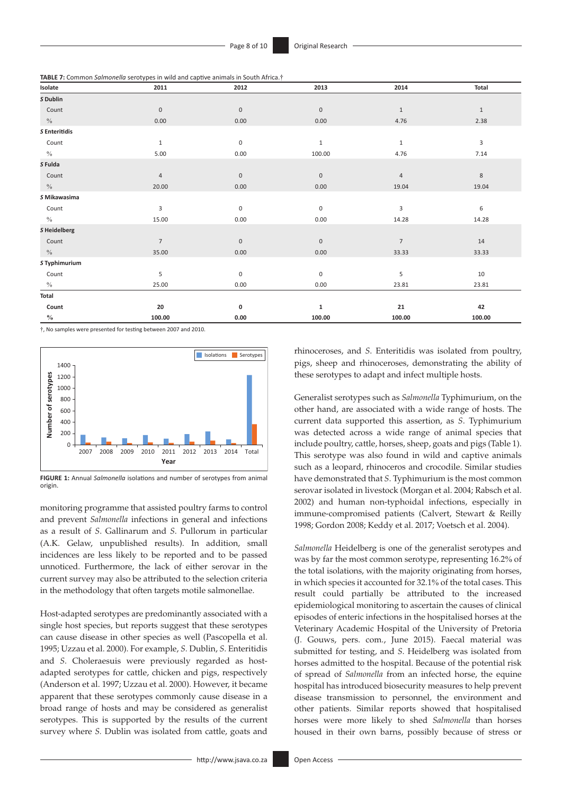**TABLE 7:** Common *Salmonella* serotypes in wild and captive animals in South Africa.†

| Isolate       | 2011           | 2012        | 2013             | 2014           | Total        |
|---------------|----------------|-------------|------------------|----------------|--------------|
| S Dublin      |                |             |                  |                |              |
| Count         | $\mathbf 0$    | $\bf 0$     | $\boldsymbol{0}$ | $\mathbf{1}$   | $\mathbf{1}$ |
| $\%$          | 0.00           | 0.00        | 0.00             | 4.76           | 2.38         |
| S Enteritidis |                |             |                  |                |              |
| Count         | $\mathbf{1}$   | $\pmb{0}$   | $\mathbf 1$      | $\mathbf{1}$   | 3            |
| $\%$          | 5.00           | 0.00        | 100.00           | 4.76           | 7.14         |
| S Fulda       |                |             |                  |                |              |
| Count         | $\overline{4}$ | $\bf 0$     | $\boldsymbol{0}$ | $\overline{4}$ | $\,$ 8 $\,$  |
| $\%$          | 20.00          | 0.00        | 0.00             | 19.04          | 19.04        |
| S Mikawasima  |                |             |                  |                |              |
| Count         | 3              | $\mathbf 0$ | $\bf 0$          | 3              | 6            |
| $\%$          | 15.00          | 0.00        | 0.00             | 14.28          | 14.28        |
| S Heidelberg  |                |             |                  |                |              |
| Count         | $\overline{7}$ | $\bf 0$     | $\boldsymbol{0}$ | $\overline{7}$ | 14           |
| $\%$          | 35.00          | 0.00        | 0.00             | 33.33          | 33.33        |
| S Typhimurium |                |             |                  |                |              |
| Count         | 5              | $\pmb{0}$   | $\pmb{0}$        | 5              | $10\,$       |
| $\%$          | 25.00          | 0.00        | 0.00             | 23.81          | 23.81        |
| Total         |                |             |                  |                |              |
| Count         | 20             | 0           | 1                | 21             | 42           |
| $\frac{0}{0}$ | 100.00         | 0.00        | 100.00           | 100.00         | 100.00       |

†, No samples were presented for testing between 2007 and 2010.



**FIGURE 1:** Annual *Salmonella* isolations and number of serotypes from animal origin.

monitoring programme that assisted poultry farms to control and prevent *Salmonella* infections in general and infections as a result of *S*. Gallinarum and *S*. Pullorum in particular (A.K. Gelaw, unpublished results). In addition, small incidences are less likely to be reported and to be passed unnoticed. Furthermore, the lack of either serovar in the current survey may also be attributed to the selection criteria in the methodology that often targets motile salmonellae.

Host-adapted serotypes are predominantly associated with a single host species, but reports suggest that these serotypes can cause disease in other species as well (Pascopella et al. 1995; Uzzau et al. 2000). For example, *S.* Dublin, *S*. Enteritidis and *S*. Choleraesuis were previously regarded as hostadapted serotypes for cattle, chicken and pigs, respectively (Anderson et al. 1997; Uzzau et al. 2000). However, it became apparent that these serotypes commonly cause disease in a broad range of hosts and may be considered as generalist serotypes. This is supported by the results of the current survey where *S.* Dublin was isolated from cattle, goats and

rhinoceroses, and *S*. Enteritidis was isolated from poultry, pigs, sheep and rhinoceroses, demonstrating the ability of these serotypes to adapt and infect multiple hosts.

Generalist serotypes such as *Salmonella* Typhimurium, on the other hand, are associated with a wide range of hosts. The current data supported this assertion, as *S*. Typhimurium was detected across a wide range of animal species that include poultry, cattle, horses, sheep, goats and pigs (Table 1). This serotype was also found in wild and captive animals such as a leopard, rhinoceros and crocodile. Similar studies have demonstrated that *S*. Typhimurium is the most common serovar isolated in livestock (Morgan et al. 2004; Rabsch et al. 2002) and human non-typhoidal infections, especially in immune-compromised patients (Calvert, Stewart & Reilly 1998; Gordon 2008; Keddy et al. 2017; Voetsch et al. 2004).

*Salmonella* Heidelberg is one of the generalist serotypes and was by far the most common serotype, representing 16.2% of the total isolations, with the majority originating from horses, in which species it accounted for 32.1% of the total cases. This result could partially be attributed to the increased epidemiological monitoring to ascertain the causes of clinical episodes of enteric infections in the hospitalised horses at the Veterinary Academic Hospital of the University of Pretoria (J. Gouws, pers. com., June 2015). Faecal material was submitted for testing, and *S*. Heidelberg was isolated from horses admitted to the hospital. Because of the potential risk of spread of *Salmonella* from an infected horse, the equine hospital has introduced biosecurity measures to help prevent disease transmission to personnel, the environment and other patients. Similar reports showed that hospitalised horses were more likely to shed *Salmonella* than horses housed in their own barns, possibly because of stress or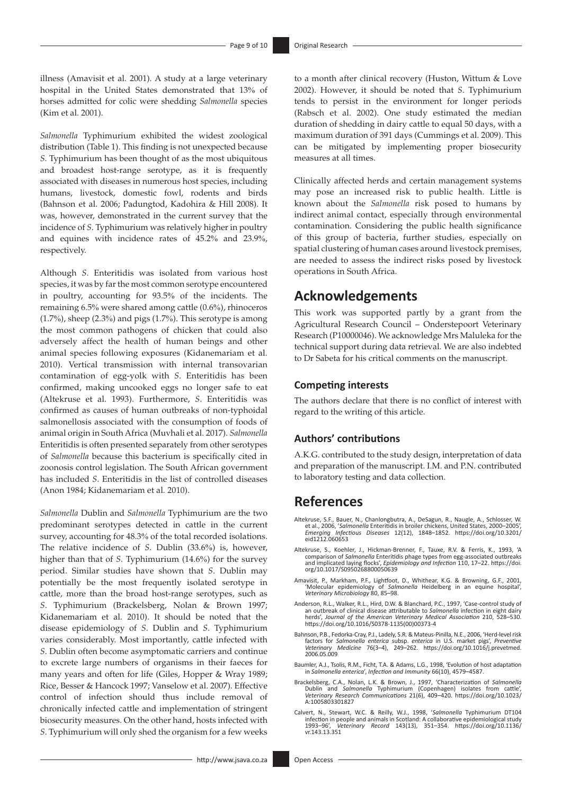illness (Amavisit et al. 2001). A study at a large veterinary hospital in the United States demonstrated that 13% of horses admitted for colic were shedding *Salmonella* species (Kim et al. 2001).

*Salmonella* Typhimurium exhibited the widest zoological distribution (Table 1). This finding is not unexpected because *S*. Typhimurium has been thought of as the most ubiquitous and broadest host-range serotype, as it is frequently associated with diseases in numerous host species, including humans, livestock, domestic fowl, rodents and birds (Bahnson et al. 2006; Padungtod, Kadohira & Hill 2008). It was, however, demonstrated in the current survey that the incidence of *S*. Typhimurium was relatively higher in poultry and equines with incidence rates of 45.2% and 23.9%, respectively.

Although *S*. Enteritidis was isolated from various host species, it was by far the most common serotype encountered in poultry, accounting for 93.5% of the incidents. The remaining 6.5% were shared among cattle (0.6%), rhinoceros (1.7%), sheep (2.3%) and pigs (1.7%). This serotype is among the most common pathogens of chicken that could also adversely affect the health of human beings and other animal species following exposures (Kidanemariam et al*.* 2010). Vertical transmission with internal transovarian contamination of egg-yolk with *S*. Enteritidis has been confirmed, making uncooked eggs no longer safe to eat (Altekruse et al. 1993). Furthermore, *S*. Enteritidis was confirmed as causes of human outbreaks of non-typhoidal salmonellosis associated with the consumption of foods of animal origin in South Africa (Muvhali et al. 2017). *Salmonella*  Enteritidis is often presented separately from other serotypes of *Salmonella* because this bacterium is specifically cited in zoonosis control legislation. The South African government has included *S*. Enteritidis in the list of controlled diseases (Anon 1984; Kidanemariam et al*.* 2010).

*Salmonella* Dublin and *Salmonella* Typhimurium are the two predominant serotypes detected in cattle in the current survey, accounting for 48.3% of the total recorded isolations. The relative incidence of *S*. Dublin (33.6%) is, however, higher than that of *S*. Typhimurium (14.6%) for the survey period. Similar studies have shown that *S*. Dublin may potentially be the most frequently isolated serotype in cattle, more than the broad host-range serotypes, such as *S*. Typhimurium (Brackelsberg, Nolan & Brown 1997; Kidanemariam et al*.* 2010). It should be noted that the disease epidemiology of *S*. Dublin and *S*. Typhimurium varies considerably. Most importantly, cattle infected with *S*. Dublin often become asymptomatic carriers and continue to excrete large numbers of organisms in their faeces for many years and often for life (Giles, Hopper & Wray 1989; Rice, Besser & Hancock 1997; Vanselow et al. 2007). Effective control of infection should thus include removal of chronically infected cattle and implementation of stringent biosecurity measures. On the other hand, hosts infected with *S*. Typhimurium will only shed the organism for a few weeks

to a month after clinical recovery (Huston, Wittum & Love 2002). However, it should be noted that *S*. Typhimurium tends to persist in the environment for longer periods (Rabsch et al. 2002). One study estimated the median duration of shedding in dairy cattle to equal 50 days, with a maximum duration of 391 days (Cummings et al. 2009). This can be mitigated by implementing proper biosecurity measures at all times.

Clinically affected herds and certain management systems may pose an increased risk to public health. Little is known about the *Salmonella* risk posed to humans by indirect animal contact, especially through environmental contamination. Considering the public health significance of this group of bacteria, further studies, especially on spatial clustering of human cases around livestock premises, are needed to assess the indirect risks posed by livestock operations in South Africa.

### **Acknowledgements**

This work was supported partly by a grant from the Agricultural Research Council – Onderstepoort Veterinary Research (P10000046). We acknowledge Mrs Maluleka for the technical support during data retrieval. We are also indebted to Dr Sabeta for his critical comments on the manuscript.

#### **Competing interests**

The authors declare that there is no conflict of interest with regard to the writing of this article.

#### **Authors' contributions**

A.K.G. contributed to the study design, interpretation of data and preparation of the manuscript. I.M. and P.N. contributed to laboratory testing and data collection.

### **References**

- Altekruse, S.F., Bauer, N., Chanlongbutra, A., DeSagun, R., Naugle, A., Schlosser, W.<br>et al., 2006, 'Salmonella Enteritidis in broiler of Lessing, United States, 2000–2005',<br>/2001–2005, 2004–2005 / 2014–2014, 2014–2014, 20 [eid1212.060653](https://doi.org/10.3201/eid1212.060653)
- Altekruse, S., Koehler, J., Hickman-Brenner, F., Tauxe, R.V. & Ferris, K., 1993, 'A<br>comparison of Salmonella Enteritidis phage types from egg-associated a outbreaks<br>and implicated laying flocks', *Epidemiology and Infectio* [org/10.1017/S0950268800050639](https://doi.org/10.1017/S0950268800050639)
- Amavisit, P., Markham, P.F., Lightfoot, D., Whithear, K.G. & Browning, G.F., 2001, 'Molecular epidemiology of *Salmonella* Heidelberg in an equine hospital', *Veterinary Microbiology* 80, 85–98.
- Anderson, R.L., Walker, R.L., Hird, D.W. & Blanchard, P.C., 1997, 'Case-control study of an outbreak of clinical disease attributable to *Salmonella* infection in eight dairy herds', *Journal of the American Veterinary Medical Association* 210, 528–530. [https://doi.org/10.1016/S0378-1135\(00\)00373-4](https://doi.org/10.1016/S0378-1135(00)00373-4)
- Bahnson, P.B., Fedorka-Cray, P.J., Ladely, S.R. & Mateus-Pinilla, N.E., 2006, 'Herd-level risk factors for *Salmonella enterica* subsp. *enterica* in U.S. market pigs', *Preventive Veterinary Medicine* 76(3–4), 249–262. [https://doi.org/10.1016/j.prevetmed.](https://doi.org/10.1016/j.prevetmed.2006.05.009) [2006.05.009](https://doi.org/10.1016/j.prevetmed.2006.05.009)
- Baumler, A.J., Tsolis, R.M., Ficht, T.A. & Adams, L.G., 1998, 'Evolution of host adaptation in *Salmonella enterica*', *Infection and Immunity* 66(10), 4579–4587.
- Brackelsberg, C.A., Nolan, L.K. & Brown, J., 1997, 'Characterization of Salmonella<br>Dublin and Salmonella Typhimurium (Copenhagen) isolates from cattle',<br>Veterinary Research Communications 21(6), 409–420. https://doi.org/10 [A:1005803301827](https://doi.org/10.1023/A:1005803301827)
- Calvert, N., Stewart, W.C. & Reilly, W.J., 1998, 'Salmonella Typhimurium DT104<br>infection in people and animals in Scotland: A collaborative epidemiological study<br>1993–96', Veterinary Record 143(13), 351–354. https://doi.or [vr.143.13.351](https://doi.org/10.1136/vr.143.13.351)